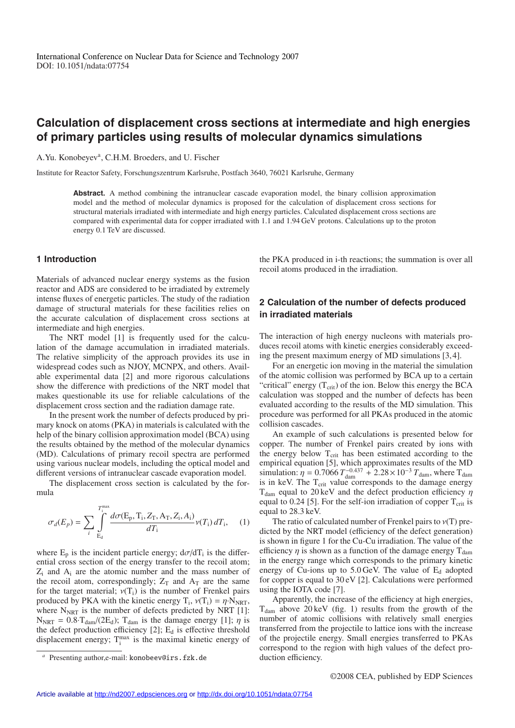# **Calculation of displacement cross sections at intermediate and high energies of primary particles using results of molecular dynamics simulations**

A.Yu. Konobeyev<sup>a</sup>, C.H.M. Broeders, and U. Fischer

Institute for Reactor Safety, Forschungszentrum Karlsruhe, Postfach 3640, 76021 Karlsruhe, Germany

**Abstract.** A method combining the intranuclear cascade evaporation model, the binary collision approximation model and the method of molecular dynamics is proposed for the calculation of displacement cross sections for structural materials irradiated with intermediate and high energy particles. Calculated displacement cross sections are compared with experimental data for copper irradiated with 1.1 and 1.94 GeV protons. Calculations up to the proton energy 0.1 TeV are discussed.

### **1 Introduction**

Materials of advanced nuclear energy systems as the fusion reactor and ADS are considered to be irradiated by extremely intense fluxes of energetic particles. The study of the radiation damage of structural materials for these facilities relies on the accurate calculation of displacement cross sections at intermediate and high energies.

The NRT model [1] is frequently used for the calculation of the damage accumulation in irradiated materials. The relative simplicity of the approach provides its use in widespread codes such as NJOY, MCNPX, and others. Available experimental data [2] and more rigorous calculations show the difference with predictions of the NRT model that makes questionable its use for reliable calculations of the displacement cross section and the radiation damage rate.

In the present work the number of defects produced by primary knock on atoms (PKA) in materials is calculated with the help of the binary collision approximation model (BCA) using the results obtained by the method of the molecular dynamics (MD). Calculations of primary recoil spectra are performed using various nuclear models, including the optical model and different versions of intranuclear cascade evaporation model.

The displacement cross section is calculated by the formula

$$
\sigma_d(E_p) = \sum_{i} \int_{E_d}^{T_i^{\max}} \frac{d\sigma(E_p, T_i, Z_T, A_T, Z_i, A_i)}{dT_i} \nu(T_i) dT_i, \quad (1)
$$

where  $E_p$  is the incident particle energy;  $d\sigma/dT_i$  is the differential cross section of the energy transfer to the recoil atom;  $Z_i$  and  $A_i$  are the atomic number and the mass number of the recoil atom, correspondingly;  $Z_T$  and  $A_T$  are the same for the target material;  $v(T_i)$  is the number of Frenkel pairs produced by PKA with the kinetic energy  $T_i$ ,  $v(T_i) = \eta \cdot N_{\text{NRT}}$ , where  $N<sub>NRT</sub>$  is the number of defects predicted by NRT [1]:  $N_{\text{NRT}} = 0.8 \cdot T_{\text{dam}} / (2E_d)$ ;  $T_{\text{dam}}$  is the damage energy [1];  $\eta$  is the defect production efficiency  $[2]$ ;  $E_d$  is effective threshold displacement energy;  $T_i^{\text{max}}$  is the maximal kinetic energy of

the PKA produced in i-th reactions; the summation is over all recoil atoms produced in the irradiation.

### **2 Calculation of the number of defects produced in irradiated materials**

The interaction of high energy nucleons with materials produces recoil atoms with kinetic energies considerably exceeding the present maximum energy of MD simulations [3, 4].

For an energetic ion moving in the material the simulation of the atomic collision was performed by BCA up to a certain "critical" energy  $(T_{\text{crit}})$  of the ion. Below this energy the BCA calculation was stopped and the number of defects has been evaluated according to the results of the MD simulation. This procedure was performed for all PKAs produced in the atomic collision cascades.

An example of such calculations is presented below for copper. The number of Frenkel pairs created by ions with the energy below T<sub>crit</sub> has been estimated according to the empirical equation [5], which approximates results of the MD simulation:  $\eta = 0.7066 T_{\text{dam}}^{-0.437} + 2.28 \times 10^{-3} T_{\text{dam}}$ , where T<sub>dam</sub> is in keV. The T<sub>crit</sub> value corresponds to the damage energy  $T_{\text{dam}}$  equal to 20 keV and the defect production efficiency  $\eta$ equal to 0.24 [5]. For the self-ion irradiation of copper  $T_{\text{crit}}$  is equal to 28.3 keV.

The ratio of calculated number of Frenkel pairs to  $v(T)$  predicted by the NRT model (efficiency of the defect generation) is shown in figure 1 for the Cu-Cu irradiation. The value of the efficiency  $\eta$  is shown as a function of the damage energy  $T_{\text{dam}}$ in the energy range which corresponds to the primary kinetic energy of Cu-ions up to  $5.0 \,\text{GeV}$ . The value of  $E_d$  adopted for copper is equal to 30 eV [2]. Calculations were performed using the IOTA code [7].

Apparently, the increase of the efficiency at high energies,  $T<sub>dam</sub>$  above 20 keV (fig. 1) results from the growth of the number of atomic collisions with relatively small energies transferred from the projectile to lattice ions with the increase of the projectile energy. Small energies transferred to PKAs correspond to the region with high values of the defect production efficiency.

Presenting author,e-mail: konobeev@irs.fzk.de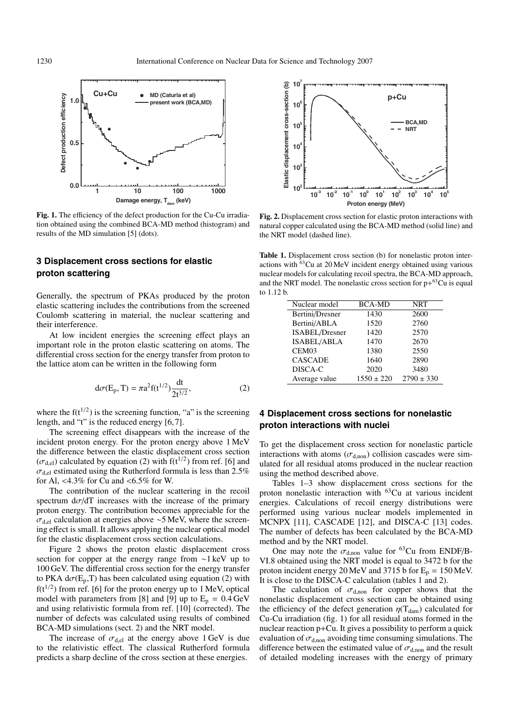

**Fig. 1.** The efficiency of the defect production for the Cu-Cu irradiation obtained using the combined BCA-MD method (histogram) and results of the MD simulation [5] (dots).

### **3 Displacement cross sections for elastic proton scattering**

Generally, the spectrum of PKAs produced by the proton elastic scattering includes the contributions from the screened Coulomb scattering in material, the nuclear scattering and their interference.

At low incident energies the screening effect plays an important role in the proton elastic scattering on atoms. The differential cross section for the energy transfer from proton to the lattice atom can be written in the following form

$$
d\sigma(E_p, T) = \pi a^2 f(t^{1/2}) \frac{dt}{2t^{3/2}},
$$
 (2)

where the  $f(t^{1/2})$  is the screening function, "a" is the screening length, and "t" is the reduced energy [6, 7].

The screening effect disappears with the increase of the incident proton energy. For the proton energy above 1 MeV the difference between the elastic displacement cross section  $(\sigma_{\text{del}})$  calculated by equation (2) with  $f(t^{1/2})$  from ref. [6] and  $\sigma_{\text{del}}$  estimated using the Rutherford formula is less than 2.5% for Al, <4.3% for Cu and <6.5% for W.

The contribution of the nuclear scattering in the recoil spectrum  $d\sigma/dT$  increases with the increase of the primary proton energy. The contribution becomes appreciable for the  $\sigma_{\text{del}}$  calculation at energies above ~5 MeV, where the screening effect is small. It allows applying the nuclear optical model for the elastic displacement cross section calculations.

Figure 2 shows the proton elastic displacement cross section for copper at the energy range from ∼1 keV up to 100 GeV. The differential cross section for the energy transfer to PKA  $d\sigma(E_p, T)$  has been calculated using equation (2) with  $f(t^{1/2})$  from ref. [6] for the proton energy up to 1 MeV, optical model with parameters from [8] and [9] up to  $E_p = 0.4$  GeV and using relativistic formula from ref. [10] (corrected). The number of defects was calculated using results of combined BCA-MD simulations (sect. 2) and the NRT model.

The increase of  $\sigma_{d,el}$  at the energy above 1 GeV is due to the relativistic effect. The classical Rutherford formula predicts a sharp decline of the cross section at these energies.



**Fig. 2.** Displacement cross section for elastic proton interactions with natural copper calculated using the BCA-MD method (solid line) and the NRT model (dashed line).

**Table 1.** Displacement cross section (b) for nonelastic proton interactions with 63Cu at 20 MeV incident energy obtained using various nuclear models for calculating recoil spectra, the BCA-MD approach, and the NRT model. The nonelastic cross section for  $p+63$ Cu is equal to 1.12 b.

| Nuclear model         | <b>BCA-MD</b>  | <b>NRT</b>     |
|-----------------------|----------------|----------------|
| Bertini/Dresner       | 1430           | 2600           |
| Bertini/ABLA          | 1520           | 2760           |
| <b>ISABEL/Dresner</b> | 1420           | 2570           |
| <b>ISABEL/ABLA</b>    | 1470           | 2670           |
| CEM <sub>03</sub>     | 1380           | 2550           |
| <b>CASCADE</b>        | 1640           | 2890           |
| DISCA-C               | 2020           | 3480           |
| Average value         | $1550 \pm 220$ | $2790 \pm 330$ |

## **4 Displacement cross sections for nonelastic proton interactions with nuclei**

To get the displacement cross section for nonelastic particle interactions with atoms ( $\sigma_{\text{d,non}}$ ) collision cascades were simulated for all residual atoms produced in the nuclear reaction using the method described above.

Tables 1–3 show displacement cross sections for the proton nonelastic interaction with 63Cu at various incident energies. Calculations of recoil energy distributions were performed using various nuclear models implemented in MCNPX [11], CASCADE [12], and DISCA-C [13] codes. The number of defects has been calculated by the BCA-MD method and by the NRT model.

One may note the  $\sigma_{\text{d,non}}$  value for <sup>63</sup>Cu from ENDF/B-VI.8 obtained using the NRT model is equal to 3472 b for the proton incident energy 20 MeV and 3715 b for  $E_p = 150$  MeV. It is close to the DISCA-C calculation (tables 1 and 2).

The calculation of  $\sigma_{d,non}$  for copper shows that the nonelastic displacement cross section can be obtained using the efficiency of the defect generation  $\eta(T_{dam})$  calculated for Cu-Cu irradiation (fig. 1) for all residual atoms formed in the nuclear reaction p+Cu. It gives a possibility to perform a quick evaluation of  $\sigma_{\text{d,non}}$  avoiding time consuming simulations. The difference between the estimated value of  $\sigma_{\text{d,non}}$  and the result of detailed modeling increases with the energy of primary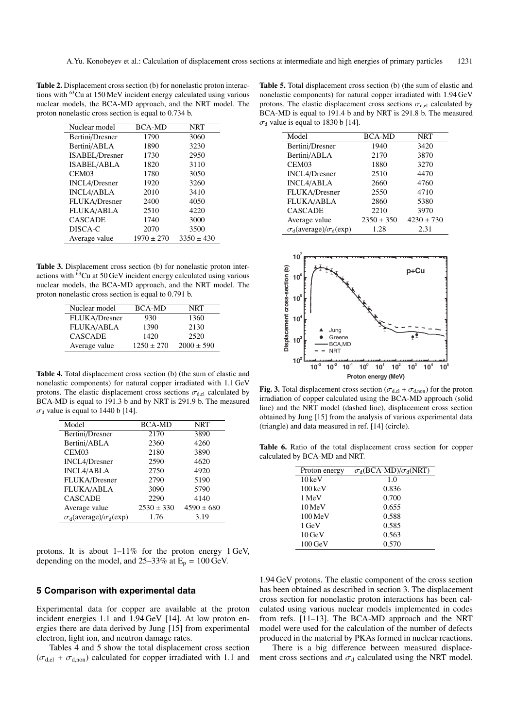**Table 2.** Displacement cross section (b) for nonelastic proton interactions with 63Cu at 150 MeV incident energy calculated using various nuclear models, the BCA-MD approach, and the NRT model. The proton nonelastic cross section is equal to 0.734 b.

|      | <b>NRT</b>                      |
|------|---------------------------------|
| 1790 | 3060                            |
| 1890 | 3230                            |
| 1730 | 2950                            |
| 1820 | 3110                            |
| 1780 | 3050                            |
| 1920 | 3260                            |
| 2010 | 3410                            |
| 2400 | 4050                            |
| 2510 | 4220                            |
| 1740 | 3000                            |
| 2070 | 3500                            |
|      | $3350 \pm 430$                  |
|      | <b>BCA-MD</b><br>$1970 \pm 270$ |

**Table 3.** Displacement cross section (b) for nonelastic proton interactions with 63Cu at 50 GeV incident energy calculated using various nuclear models, the BCA-MD approach, and the NRT model. The proton nonelastic cross section is equal to 0.791 b.

| Nuclear model        | <b>BCA-MD</b>  | NRT            |
|----------------------|----------------|----------------|
| <b>FLUKA/Dresner</b> | 930            | 1360           |
| <b>FLUKA/ABLA</b>    | 1390           | 2130           |
| <b>CASCADE</b>       | 1420           | 2520           |
| Average value        | $1250 \pm 270$ | $2000 \pm 590$ |
|                      |                |                |

**Table 4.** Total displacement cross section (b) (the sum of elastic and nonelastic components) for natural copper irradiated with 1.1 GeV protons. The elastic displacement cross sections  $\sigma_{d,el}$  calculated by BCA-MD is equal to 191.3 b and by NRT is 291.9 b. The measured  $\sigma_d$  value is equal to 1440 b [14].

| Model                                           | <b>BCA-MD</b>  | NRT            |
|-------------------------------------------------|----------------|----------------|
| Bertini/Dresner                                 | 2170           | 3890           |
| Bertini/ABLA                                    | 2360           | 4260           |
| CEM <sub>03</sub>                               | 2180           | 3890           |
| <b>INCL4/Dresner</b>                            | 2590           | 4620           |
| <b>INCL4/ABLA</b>                               | 2750           | 4920           |
| FLUKA/Dresner                                   | 2790           | 5190           |
| <b>FLUKA/ABLA</b>                               | 3090           | 5790           |
| <b>CASCADE</b>                                  | 2290           | 4140           |
| Average value                                   | $2530 \pm 330$ | $4590 \pm 680$ |
| $\sigma_d(\text{average})/\sigma_d(\text{exp})$ | 1.76           | 3.19           |

protons. It is about 1–11% for the proton energy 1 GeV, depending on the model, and  $25-33\%$  at  $E_p = 100 \text{ GeV}$ .

### **5 Comparison with experimental data**

Experimental data for copper are available at the proton incident energies 1.1 and 1.94 GeV [14]. At low proton energies there are data derived by Jung [15] from experimental electron, light ion, and neutron damage rates.

Tables 4 and 5 show the total displacement cross section  $(\sigma_{d,el} + \sigma_{d,non})$  calculated for copper irradiated with 1.1 and

**Table 5.** Total displacement cross section (b) (the sum of elastic and nonelastic components) for natural copper irradiated with 1.94 GeV protons. The elastic displacement cross sections  $\sigma_{\text{del}}$  calculated by BCA-MD is equal to 191.4 b and by NRT is 291.8 b. The measured  $\sigma_d$  value is equal to 1830 b [14].

| Model                                           | <b>BCA-MD</b>  | <b>NRT</b>     |
|-------------------------------------------------|----------------|----------------|
| Bertini/Dresner                                 | 1940           | 3420           |
| Bertini/ABLA                                    | 2170           | 3870           |
| CEM <sub>03</sub>                               | 1880           | 3270           |
| <b>INCL4/Dresner</b>                            | 2510           | 4470           |
| <b>INCL4/ABLA</b>                               | 2660           | 4760           |
| FLUKA/Dresner                                   | 2550           | 4710           |
| <b>FLUKA/ABLA</b>                               | 2860           | 5380           |
| <b>CASCADE</b>                                  | 2210           | 3970           |
| Average value                                   | $2350 \pm 350$ | $4230 \pm 730$ |
| $\sigma_d(\text{average})/\sigma_d(\text{exp})$ | 1.28           | 2.31           |



**Fig. 3.** Total displacement cross section ( $\sigma_{d,el} + \sigma_{d,non}$ ) for the proton irradiation of copper calculated using the BCA-MD approach (solid line) and the NRT model (dashed line), displacement cross section obtained by Jung [15] from the analysis of various experimental data (triangle) and data measured in ref. [14] (circle).

**Table 6.** Ratio of the total displacement cross section for copper calculated by BCA-MD and NRT.

| Proton energy        | $\sigma_d(BCA-MD)/\sigma_d(NRT)$ |
|----------------------|----------------------------------|
| $10 \,\mathrm{keV}$  | 1.0                              |
| $100 \,\mathrm{keV}$ | 0.836                            |
| 1 MeV                | 0.700                            |
| $10 \,\mathrm{MeV}$  | 0.655                            |
| $100 \,\mathrm{MeV}$ | 0.588                            |
| 1 GeV                | 0.585                            |
| 10 GeV               | 0.563                            |
| $100 \,\mathrm{GeV}$ | 0.570                            |
|                      |                                  |

1.94 GeV protons. The elastic component of the cross section has been obtained as described in section 3. The displacement cross section for nonelastic proton interactions has been calculated using various nuclear models implemented in codes from refs. [11–13]. The BCA-MD approach and the NRT model were used for the calculation of the number of defects produced in the material by PKAs formed in nuclear reactions.

There is a big difference between measured displacement cross sections and  $\sigma_d$  calculated using the NRT model.